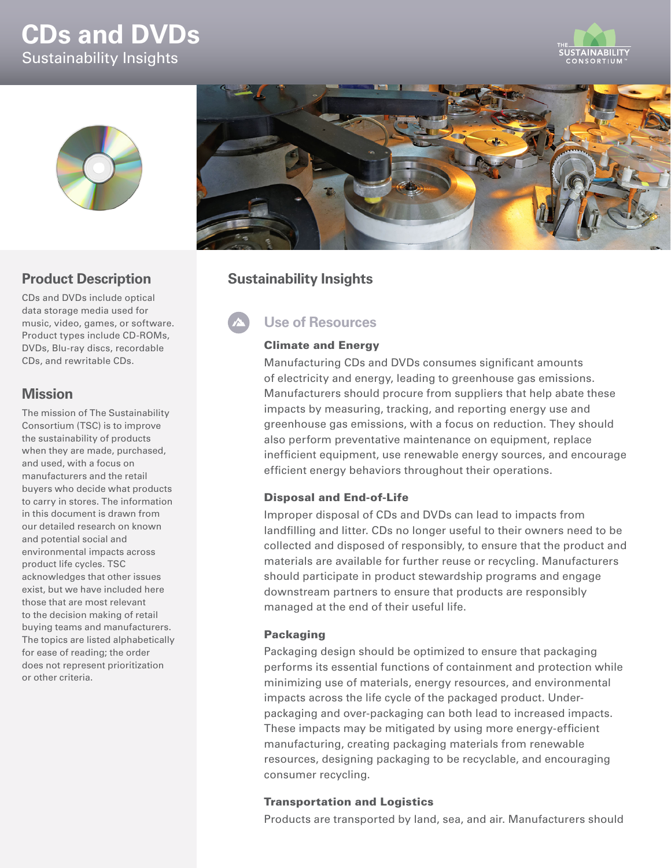# **CDs and DVDs** Sustainability Insights





## **Product Description**

CDs and DVDs include optical data storage media used for music, video, games, or software. Product types include CD-ROMs, DVDs, Blu-ray discs, recordable CDs, and rewritable CDs.

## **Mission**

The mission of The Sustainability Consortium (TSC) is to improve the sustainability of products when they are made, purchased, and used, with a focus on manufacturers and the retail buyers who decide what products to carry in stores. The information in this document is drawn from our detailed research on known and potential social and environmental impacts across product life cycles. TSC acknowledges that other issues exist, but we have included here those that are most relevant to the decision making of retail buying teams and manufacturers. The topics are listed alphabetically for ease of reading; the order does not represent prioritization or other criteria.



## **Sustainability Insights**

# **Use of Resources**

#### Climate and Energy

Manufacturing CDs and DVDs consumes significant amounts of electricity and energy, leading to greenhouse gas emissions. Manufacturers should procure from suppliers that help abate these impacts by measuring, tracking, and reporting energy use and greenhouse gas emissions, with a focus on reduction. They should also perform preventative maintenance on equipment, replace inefficient equipment, use renewable energy sources, and encourage efficient energy behaviors throughout their operations.

#### Disposal and End-of-Life

Improper disposal of CDs and DVDs can lead to impacts from landfilling and litter. CDs no longer useful to their owners need to be collected and disposed of responsibly, to ensure that the product and materials are available for further reuse or recycling. Manufacturers should participate in product stewardship programs and engage downstream partners to ensure that products are responsibly managed at the end of their useful life.

#### Packaging

Packaging design should be optimized to ensure that packaging performs its essential functions of containment and protection while minimizing use of materials, energy resources, and environmental impacts across the life cycle of the packaged product. Underpackaging and over-packaging can both lead to increased impacts. These impacts may be mitigated by using more energy-efficient manufacturing, creating packaging materials from renewable resources, designing packaging to be recyclable, and encouraging consumer recycling.

#### Transportation and Logistics

Products are transported by land, sea, and air. Manufacturers should